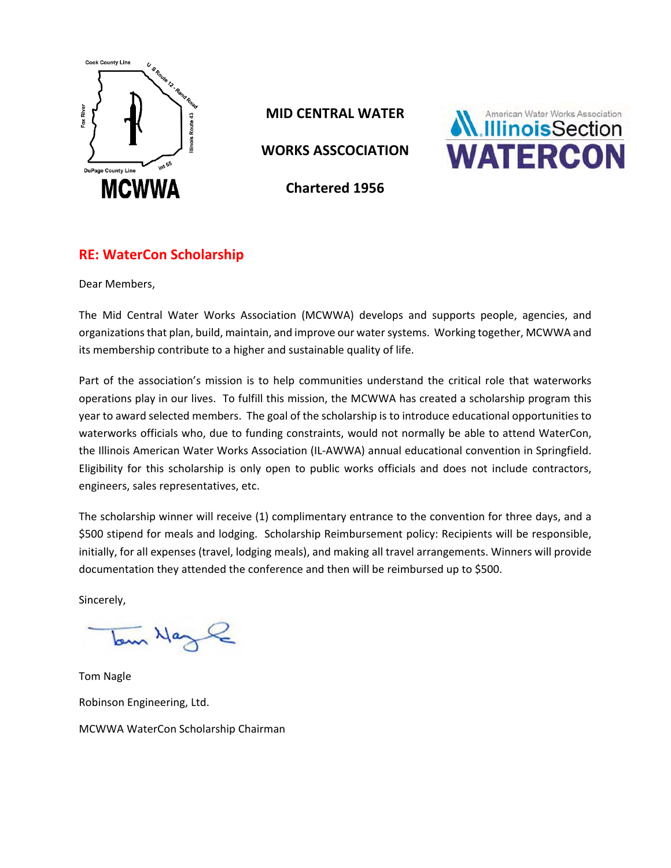

**MID CENTRAL WATER** 

**WORKS ASSCOCIATION** 



**Chartered 1956**

# **RE: WaterCon Scholarship**

Dear Members,

The Mid Central Water Works Association (MCWWA) develops and supports people, agencies, and organizations that plan, build, maintain, and improve our water systems. Working together, MCWWA and its membership contribute to a higher and sustainable quality of life.

Part of the association's mission is to help communities understand the critical role that waterworks operations play in our lives. To fulfill this mission, the MCWWA has created a scholarship program this year to award selected members. The goal of the scholarship is to introduce educational opportunities to waterworks officials who, due to funding constraints, would not normally be able to attend WaterCon, the Illinois American Water Works Association (IL‐AWWA) annual educational convention in Springfield. Eligibility for this scholarship is only open to public works officials and does not include contractors, engineers, sales representatives, etc.

The scholarship winner will receive (1) complimentary entrance to the convention for three days, and a \$500 stipend for meals and lodging. Scholarship Reimbursement policy: Recipients will be responsible, initially, for all expenses (travel, lodging meals), and making all travel arrangements. Winners will provide documentation they attended the conference and then will be reimbursed up to \$500.

Sincerely,

tom Hazle

Tom Nagle Robinson Engineering, Ltd. MCWWA WaterCon Scholarship Chairman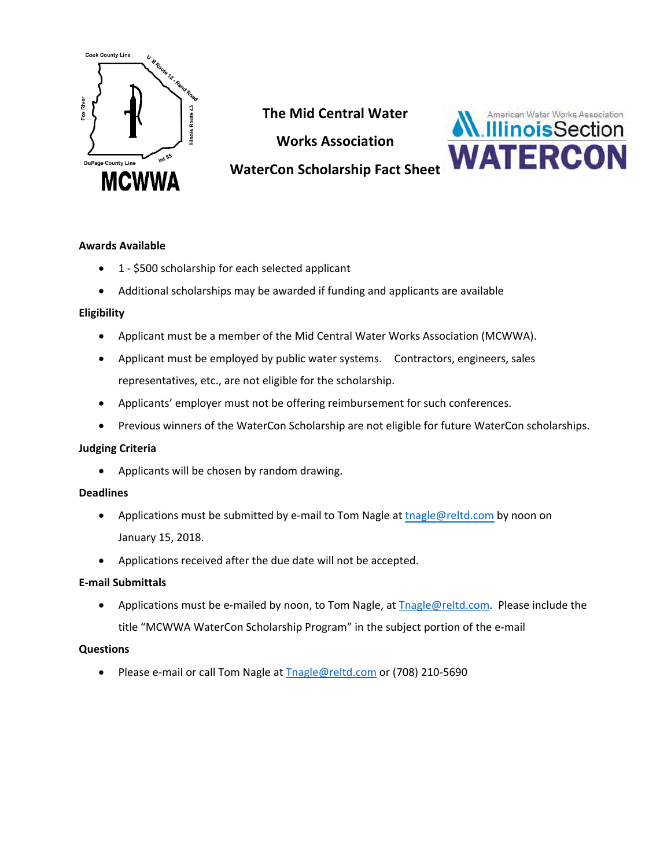

**The Mid Central Water** 

**Works Association** 



# **WaterCon Scholarship Fact Sheet**

## **Awards Available**

- 1 \$500 scholarship for each selected applicant
- Additional scholarships may be awarded if funding and applicants are available

## **Eligibility**

- Applicant must be a member of the Mid Central Water Works Association (MCWWA).
- Applicant must be employed by public water systems. Contractors, engineers, sales representatives, etc., are not eligible for the scholarship.
- Applicants' employer must not be offering reimbursement for such conferences.
- Previous winners of the WaterCon Scholarship are not eligible for future WaterCon scholarships.

### **Judging Criteria**

• Applicants will be chosen by random drawing.

### **Deadlines**

- Applications must be submitted by e-mail to Tom Nagle at tnagle@reltd.com by noon on January 15, 2018.
- Applications received after the due date will not be accepted.

### **E‐mail Submittals**

• Applications must be e-mailed by noon, to Tom Nagle, at **Thagle@reltd.com.** Please include the title "MCWWA WaterCon Scholarship Program" in the subject portion of the e‐mail

### **Questions**

• Please e-mail or call Tom Nagle at Tnagle@reltd.com or (708) 210-5690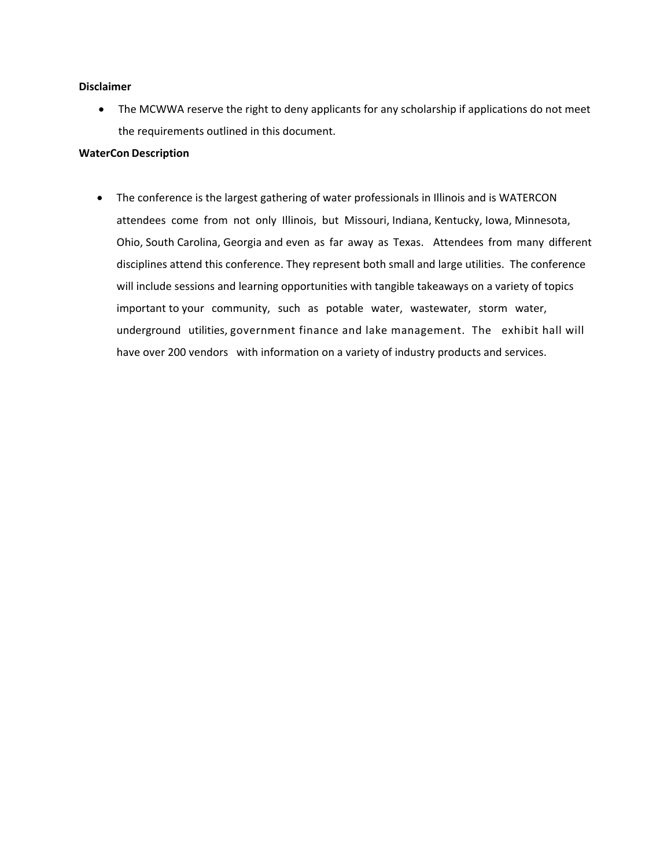#### **Disclaimer**

• The MCWWA reserve the right to deny applicants for any scholarship if applications do not meet the requirements outlined in this document.

#### **WaterCon Description**

• The conference is the largest gathering of water professionals in Illinois and is WATERCON attendees come from not only Illinois, but Missouri, Indiana, Kentucky, Iowa, Minnesota, Ohio, South Carolina, Georgia and even as far away as Texas. Attendees from many different disciplines attend this conference. They represent both small and large utilities. The conference will include sessions and learning opportunities with tangible takeaways on a variety of topics important to your community, such as potable water, wastewater, storm water, underground utilities, government finance and lake management. The exhibit hall will have over 200 vendors with information on a variety of industry products and services.